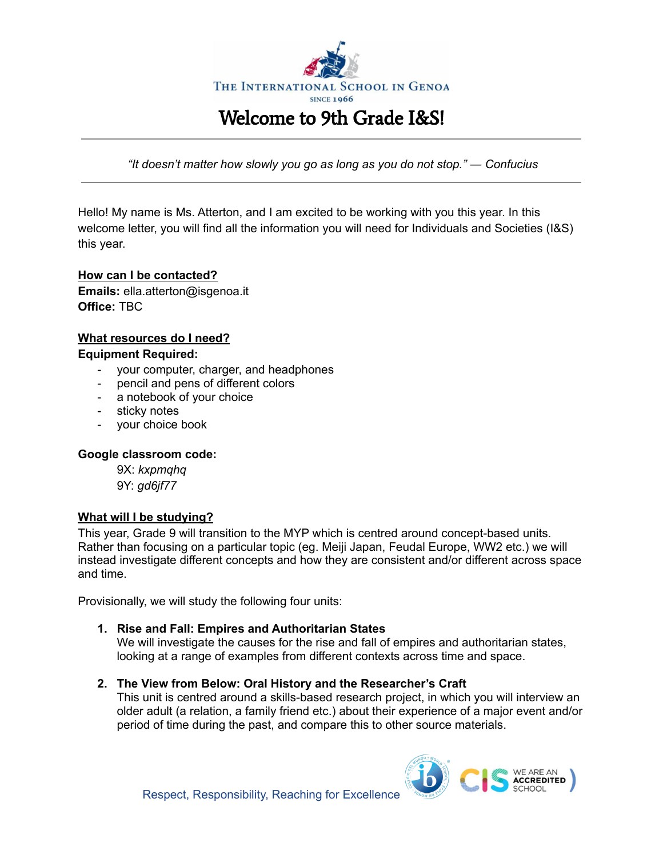

*"It doesn't matter how slowly you go as long as you do not stop." ― Confucius*

Hello! My name is Ms. Atterton, and I am excited to be working with you this year. In this welcome letter, you will find all the information you will need for Individuals and Societies (I&S) this year.

## **How can I be contacted? Emails:** ella.atterton@isgenoa.it **Office:** TBC

#### **What resources do I need? Equipment Required:**

- your computer, charger, and headphones
- pencil and pens of different colors
- a notebook of your choice
- sticky notes
- your choice book

## **Google classroom code:**

9X: *kxpmqhq* 9Y: *gd6jf77*

## **What will I be studying?**

This year, Grade 9 will transition to the MYP which is centred around concept-based units. Rather than focusing on a particular topic (eg. Meiji Japan, Feudal Europe, WW2 etc.) we will instead investigate different concepts and how they are consistent and/or different across space and time.

Provisionally, we will study the following four units:

## **1. Rise and Fall: Empires and Authoritarian States**

We will investigate the causes for the rise and fall of empires and authoritarian states, looking at a range of examples from different contexts across time and space.

**2. The View from Below: Oral History and the Researcher's Craft**

This unit is centred around a skills-based research project, in which you will interview an older adult (a relation, a family friend etc.) about their experience of a major event and/or period of time during the past, and compare this to other source materials.

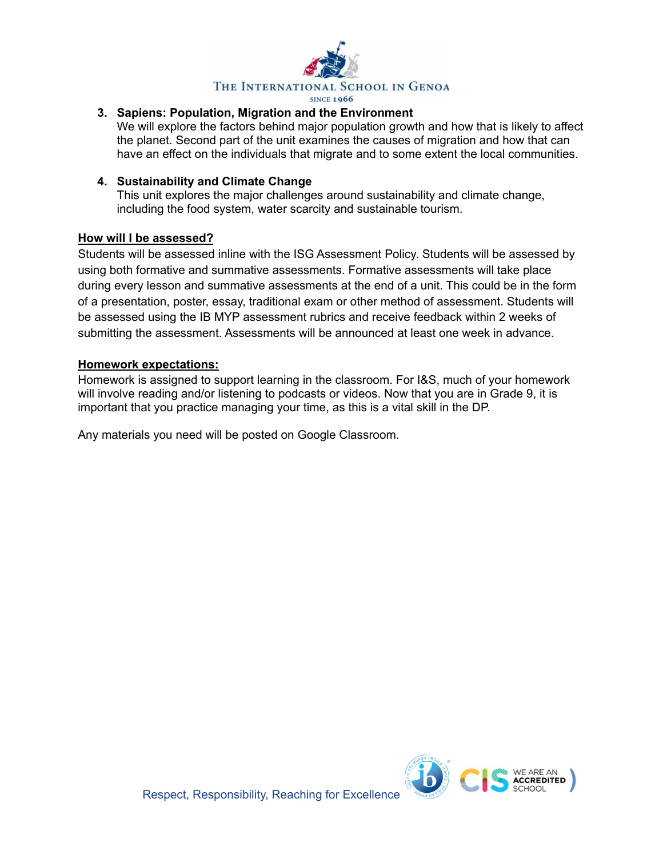

## **3. Sapiens: Population, Migration and the Environment**

We will explore the factors behind major population growth and how that is likely to affect the planet. Second part of the unit examines the causes of migration and how that can have an effect on the individuals that migrate and to some extent the local communities.

### **4. Sustainability and Climate Change**

This unit explores the major challenges around sustainability and climate change, including the food system, water scarcity and sustainable tourism.

#### **How will I be assessed?**

Students will be assessed inline with the ISG Assessment Policy. Students will be assessed by using both formative and summative assessments. Formative assessments will take place during every lesson and summative assessments at the end of a unit. This could be in the form of a presentation, poster, essay, traditional exam or other method of assessment. Students will be assessed using the IB MYP assessment rubrics and receive feedback within 2 weeks of submitting the assessment. Assessments will be announced at least one week in advance.

### **Homework expectations:**

Homework is assigned to support learning in the classroom. For I&S, much of your homework will involve reading and/or listening to podcasts or videos. Now that you are in Grade 9, it is important that you practice managing your time, as this is a vital skill in the DP.

Any materials you need will be posted on Google Classroom.

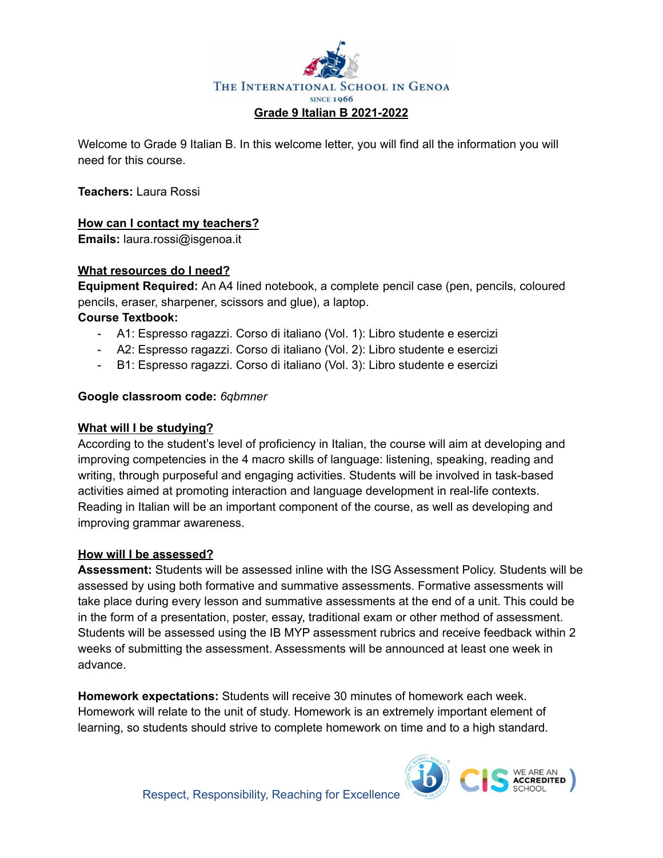

Welcome to Grade 9 Italian B. In this welcome letter, you will find all the information you will need for this course.

**Teachers:** Laura Rossi

## **How can I contact my teachers?**

**Emails:** laura.rossi@isgenoa.it

## **What resources do I need?**

**Equipment Required:** An A4 lined notebook, a complete pencil case (pen, pencils, coloured pencils, eraser, sharpener, scissors and glue), a laptop.

## **Course Textbook:**

- A1: Espresso ragazzi. Corso di italiano (Vol. 1): Libro studente e esercizi
- A2: Espresso ragazzi. Corso di italiano (Vol. 2): Libro studente e esercizi
- B1: Espresso ragazzi. Corso di italiano (Vol. 3): Libro studente e esercizi

## **Google classroom code:** *6qbmner*

## **What will I be studying?**

According to the student's level of proficiency in Italian, the course will aim at developing and improving competencies in the 4 macro skills of language: listening, speaking, reading and writing, through purposeful and engaging activities. Students will be involved in task-based activities aimed at promoting interaction and language development in real-life contexts. Reading in Italian will be an important component of the course, as well as developing and improving grammar awareness.

## **How will I be assessed?**

**Assessment:** Students will be assessed inline with the ISG Assessment Policy. Students will be assessed by using both formative and summative assessments. Formative assessments will take place during every lesson and summative assessments at the end of a unit. This could be in the form of a presentation, poster, essay, traditional exam or other method of assessment. Students will be assessed using the IB MYP assessment rubrics and receive feedback within 2 weeks of submitting the assessment. Assessments will be announced at least one week in advance.

**Homework expectations:** Students will receive 30 minutes of homework each week. Homework will relate to the unit of study. Homework is an extremely important element of learning, so students should strive to complete homework on time and to a high standard.

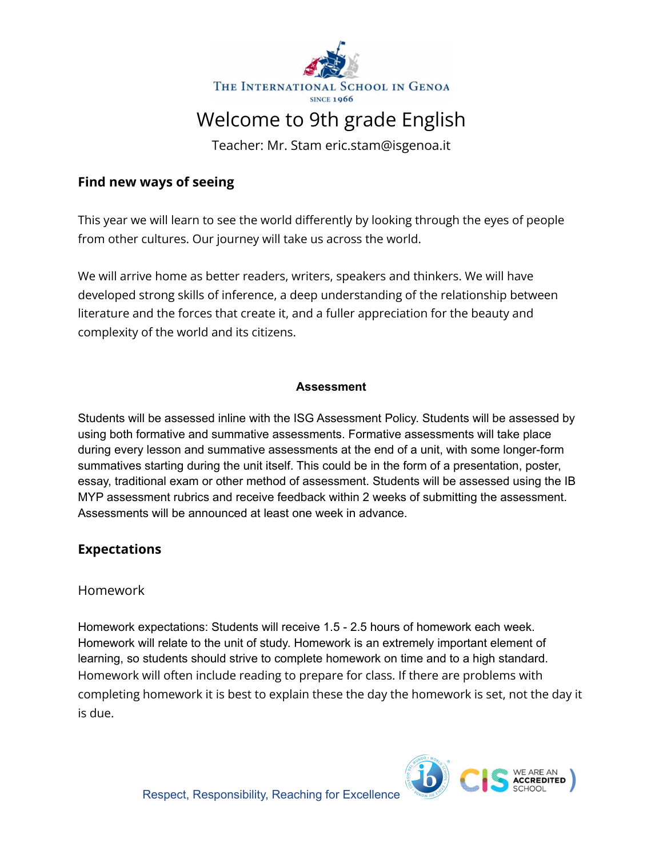

# Welcome to 9th grade English

Teacher: Mr. Stam eric.stam@isgenoa.it

# **Find new ways of seeing**

This year we will learn to see the world differently by looking through the eyes of people from other cultures. Our journey will take us across the world.

We will arrive home as better readers, writers, speakers and thinkers. We will have developed strong skills of inference, a deep understanding of the relationship between literature and the forces that create it, and a fuller appreciation for the beauty and complexity of the world and its citizens.

## **Assessment**

Students will be assessed inline with the ISG Assessment Policy. Students will be assessed by using both formative and summative assessments. Formative assessments will take place during every lesson and summative assessments at the end of a unit, with some longer-form summatives starting during the unit itself. This could be in the form of a presentation, poster, essay, traditional exam or other method of assessment. Students will be assessed using the IB MYP assessment rubrics and receive feedback within 2 weeks of submitting the assessment. Assessments will be announced at least one week in advance.

# **Expectations**

# Homework

Homework expectations: Students will receive 1.5 - 2.5 hours of homework each week. Homework will relate to the unit of study. Homework is an extremely important element of learning, so students should strive to complete homework on time and to a high standard. Homework will often include reading to prepare for class. If there are problems with completing homework it is best to explain these the day the homework is set, not the day it is due.

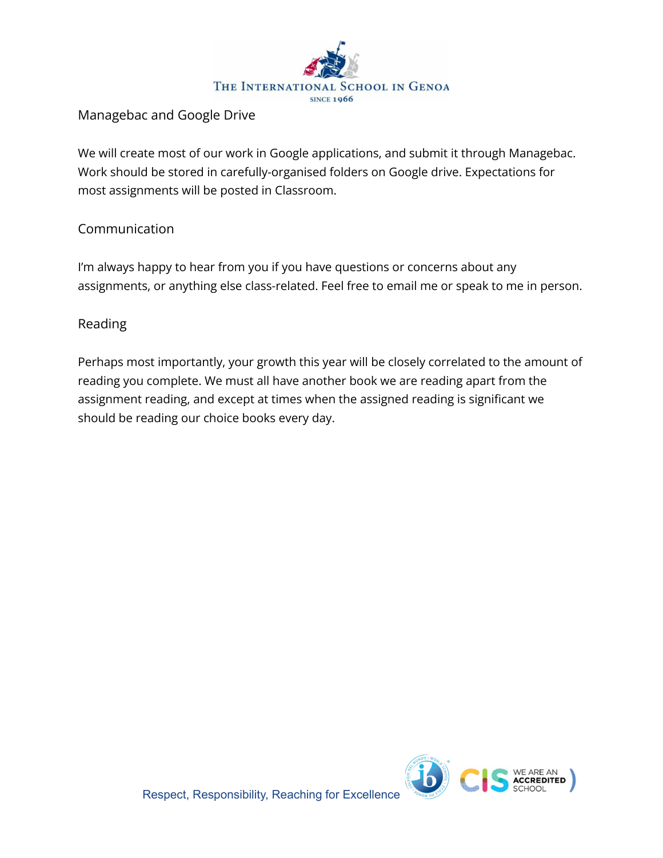

# Managebac and Google Drive

We will create most of our work in Google applications, and submit it through Managebac. Work should be stored in carefully-organised folders on Google drive. Expectations for most assignments will be posted in Classroom.

# Communication

I'm always happy to hear from you if you have questions or concerns about any assignments, or anything else class-related. Feel free to email me or speak to me in person.

# Reading

Perhaps most importantly, your growth this year will be closely correlated to the amount of reading you complete. We must all have another book we are reading apart from the assignment reading, and except at times when the assigned reading is significant we should be reading our choice books every day.

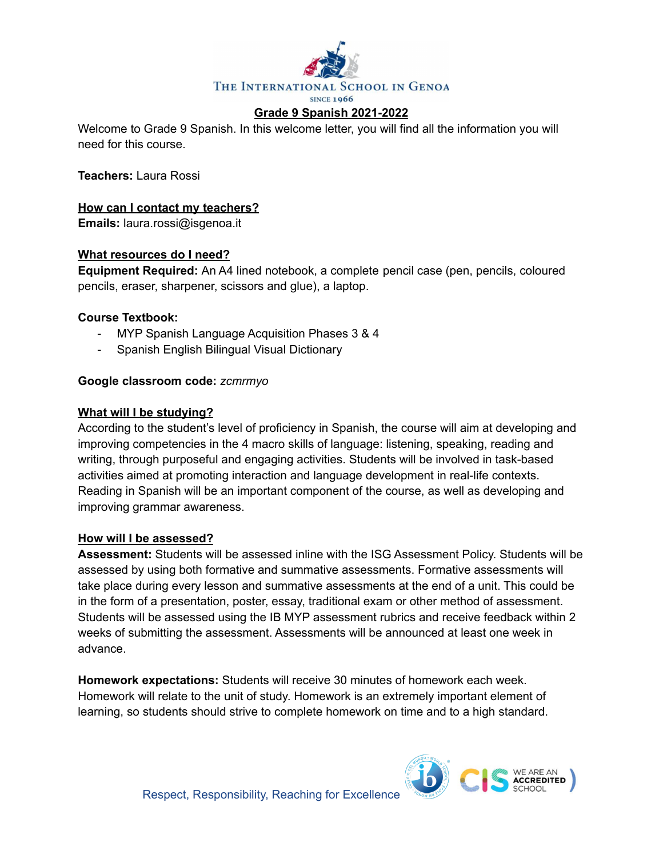

Welcome to Grade 9 Spanish. In this welcome letter, you will find all the information you will need for this course.

**Teachers:** Laura Rossi

## **How can I contact my teachers?**

**Emails:** laura.rossi@isgenoa.it

## **What resources do I need?**

**Equipment Required:** An A4 lined notebook, a complete pencil case (pen, pencils, coloured pencils, eraser, sharpener, scissors and glue), a laptop.

## **Course Textbook:**

- MYP Spanish Language Acquisition Phases 3 & 4
- Spanish English Bilingual Visual Dictionary

## **Google classroom code:** *zcmrmyo*

### **What will I be studying?**

According to the student's level of proficiency in Spanish, the course will aim at developing and improving competencies in the 4 macro skills of language: listening, speaking, reading and writing, through purposeful and engaging activities. Students will be involved in task-based activities aimed at promoting interaction and language development in real-life contexts. Reading in Spanish will be an important component of the course, as well as developing and improving grammar awareness.

## **How will I be assessed?**

**Assessment:** Students will be assessed inline with the ISG Assessment Policy. Students will be assessed by using both formative and summative assessments. Formative assessments will take place during every lesson and summative assessments at the end of a unit. This could be in the form of a presentation, poster, essay, traditional exam or other method of assessment. Students will be assessed using the IB MYP assessment rubrics and receive feedback within 2 weeks of submitting the assessment. Assessments will be announced at least one week in advance.

**Homework expectations:** Students will receive 30 minutes of homework each week. Homework will relate to the unit of study. Homework is an extremely important element of learning, so students should strive to complete homework on time and to a high standard.

![](_page_5_Picture_17.jpeg)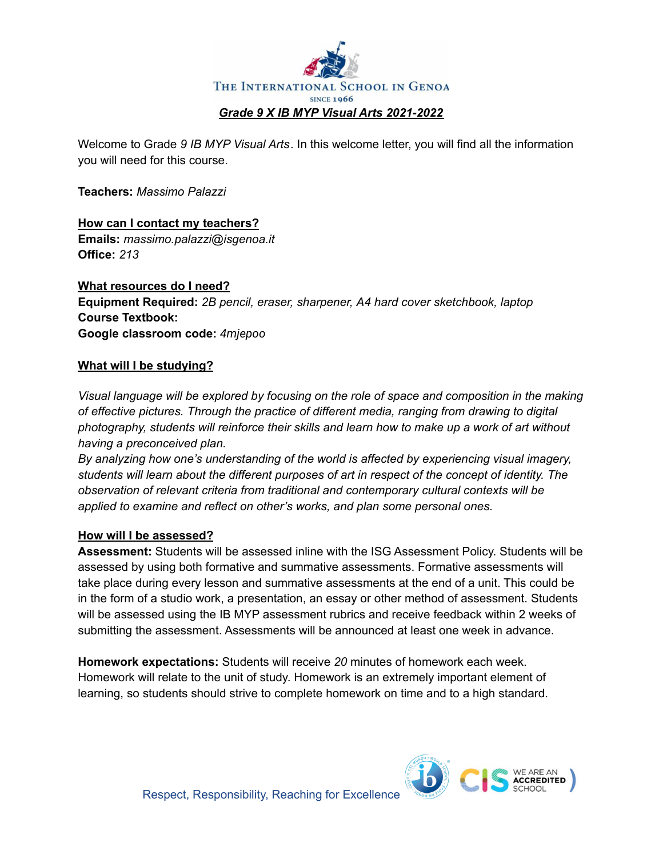![](_page_6_Picture_0.jpeg)

Welcome to Grade *9 IB MYP Visual Arts*. In this welcome letter, you will find all the information you will need for this course.

**Teachers:** *Massimo Palazzi*

**How can I contact my teachers? Emails:** *massimo.palazzi@isgenoa.it* **Office:** *213*

**What resources do I need? Equipment Required:** *2B pencil, eraser, sharpener, A4 hard cover sketchbook, laptop* **Course Textbook: Google classroom code:** *4mjepoo*

## **What will I be studying?**

*Visual language will be explored by focusing on the role of space and composition in the making of effective pictures. Through the practice of different media, ranging from drawing to digital photography, students will reinforce their skills and learn how to make up a work of art without having a preconceived plan.*

*By analyzing how one's understanding of the world is affected by experiencing visual imagery, students will learn about the different purposes of art in respect of the concept of identity. The observation of relevant criteria from traditional and contemporary cultural contexts will be applied to examine and reflect on other's works, and plan some personal ones.*

## **How will I be assessed?**

**Assessment:** Students will be assessed inline with the ISG Assessment Policy. Students will be assessed by using both formative and summative assessments. Formative assessments will take place during every lesson and summative assessments at the end of a unit. This could be in the form of a studio work, a presentation, an essay or other method of assessment. Students will be assessed using the IB MYP assessment rubrics and receive feedback within 2 weeks of submitting the assessment. Assessments will be announced at least one week in advance.

**Homework expectations:** Students will receive *20* minutes of homework each week. Homework will relate to the unit of study. Homework is an extremely important element of learning, so students should strive to complete homework on time and to a high standard.

**ACCREDITED**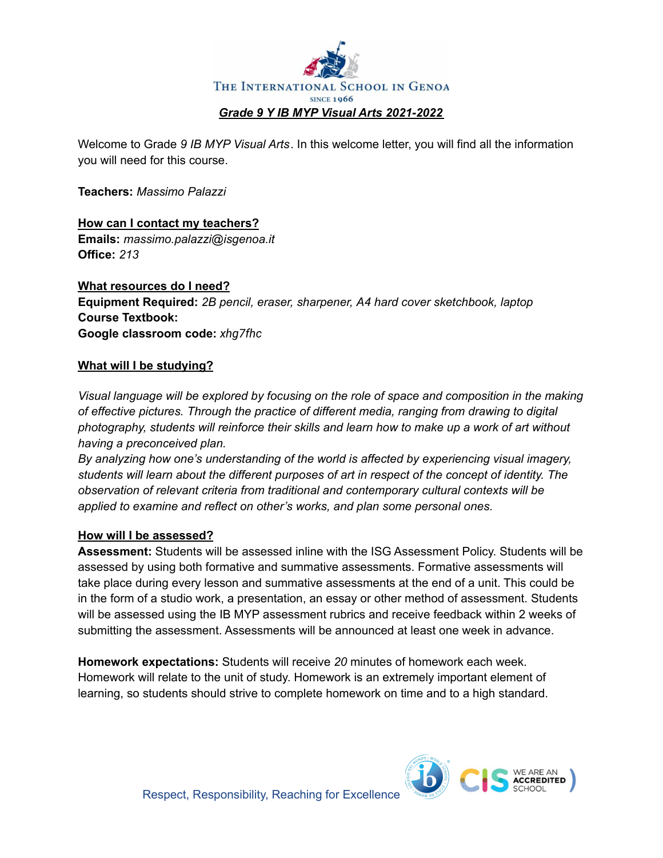![](_page_7_Picture_0.jpeg)

Welcome to Grade *9 IB MYP Visual Arts*. In this welcome letter, you will find all the information you will need for this course.

**Teachers:** *Massimo Palazzi*

**How can I contact my teachers? Emails:** *massimo.palazzi@isgenoa.it* **Office:** *213*

**What resources do I need? Equipment Required:** *2B pencil, eraser, sharpener, A4 hard cover sketchbook, laptop* **Course Textbook: Google classroom code:** *xhg7fhc*

## **What will I be studying?**

*Visual language will be explored by focusing on the role of space and composition in the making of effective pictures. Through the practice of different media, ranging from drawing to digital photography, students will reinforce their skills and learn how to make up a work of art without having a preconceived plan.*

*By analyzing how one's understanding of the world is affected by experiencing visual imagery, students will learn about the different purposes of art in respect of the concept of identity. The observation of relevant criteria from traditional and contemporary cultural contexts will be applied to examine and reflect on other's works, and plan some personal ones.*

## **How will I be assessed?**

**Assessment:** Students will be assessed inline with the ISG Assessment Policy. Students will be assessed by using both formative and summative assessments. Formative assessments will take place during every lesson and summative assessments at the end of a unit. This could be in the form of a studio work, a presentation, an essay or other method of assessment. Students will be assessed using the IB MYP assessment rubrics and receive feedback within 2 weeks of submitting the assessment. Assessments will be announced at least one week in advance.

**Homework expectations:** Students will receive *20* minutes of homework each week. Homework will relate to the unit of study. Homework is an extremely important element of learning, so students should strive to complete homework on time and to a high standard.

**ACCREDITED** 

![](_page_7_Picture_12.jpeg)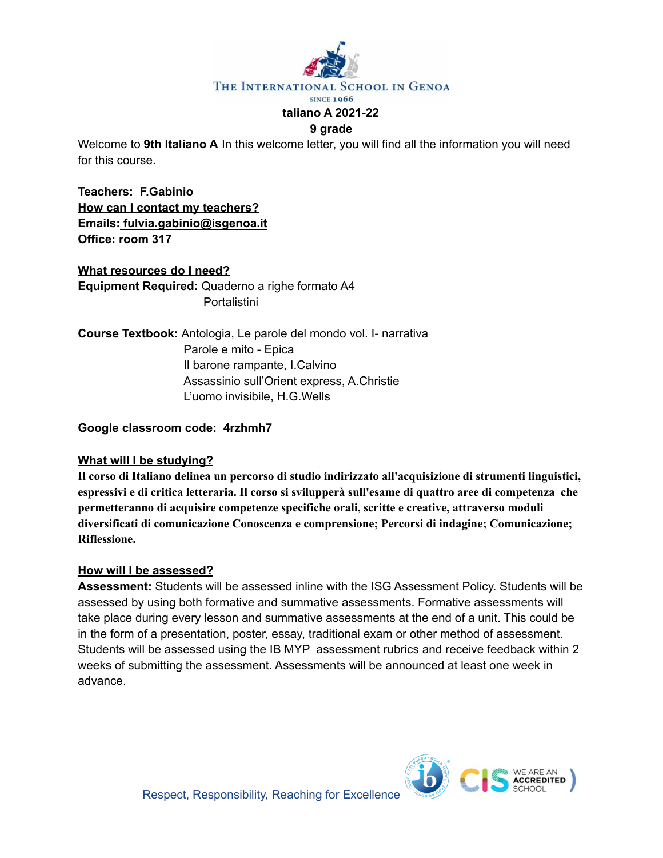![](_page_8_Picture_0.jpeg)

#### **9 grade**

Welcome to **9th Italiano A** In this welcome letter, you will find all the information you will need for this course.

**Teachers: F.Gabinio How can I contact my teachers? Emails: fulvia.gabinio@isgenoa.it Office: room 317**

## **What resources do I need?**

**Equipment Required:** Quaderno a righe formato A4 **Portalistini** 

**Course Textbook:** Antologia, Le parole del mondo vol. I- narrativa Parole e mito - Epica Il barone rampante, I.Calvino Assassinio sull'Orient express, A.Christie L'uomo invisibile, H.G.Wells

### **Google classroom code: 4rzhmh7**

## **What will I be studying?**

**Il corso di Italiano delinea un percorso di studio indirizzato all'acquisizione di strumenti linguistici, espressivi e di critica letteraria. Il corso si svilupperà sull'esame di quattro aree di competenza che permetteranno di acquisire competenze specifiche orali, scritte e creative, attraverso moduli diversificati di comunicazione Conoscenza e comprensione; Percorsi di indagine; Comunicazione; Riflessione.**

#### **How will I be assessed?**

**Assessment:** Students will be assessed inline with the ISG Assessment Policy. Students will be assessed by using both formative and summative assessments. Formative assessments will take place during every lesson and summative assessments at the end of a unit. This could be in the form of a presentation, poster, essay, traditional exam or other method of assessment. Students will be assessed using the IB MYP assessment rubrics and receive feedback within 2 weeks of submitting the assessment. Assessments will be announced at least one week in advance.

![](_page_8_Picture_13.jpeg)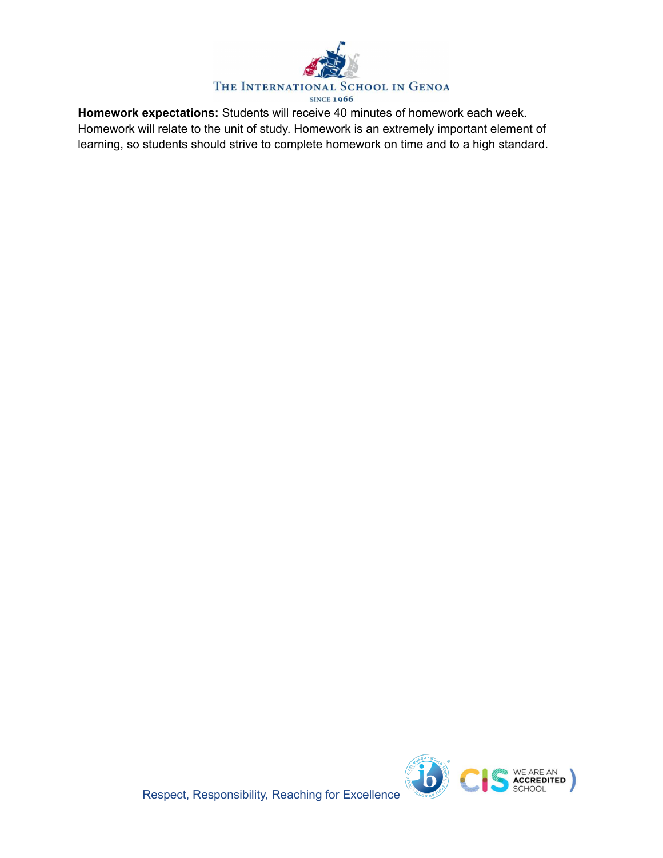![](_page_9_Picture_0.jpeg)

**Homework expectations:** Students will receive 40 minutes of homework each week. Homework will relate to the unit of study. Homework is an extremely important element of learning, so students should strive to complete homework on time and to a high standard.

![](_page_9_Picture_2.jpeg)

Respect, Responsibility, Reaching for Excellence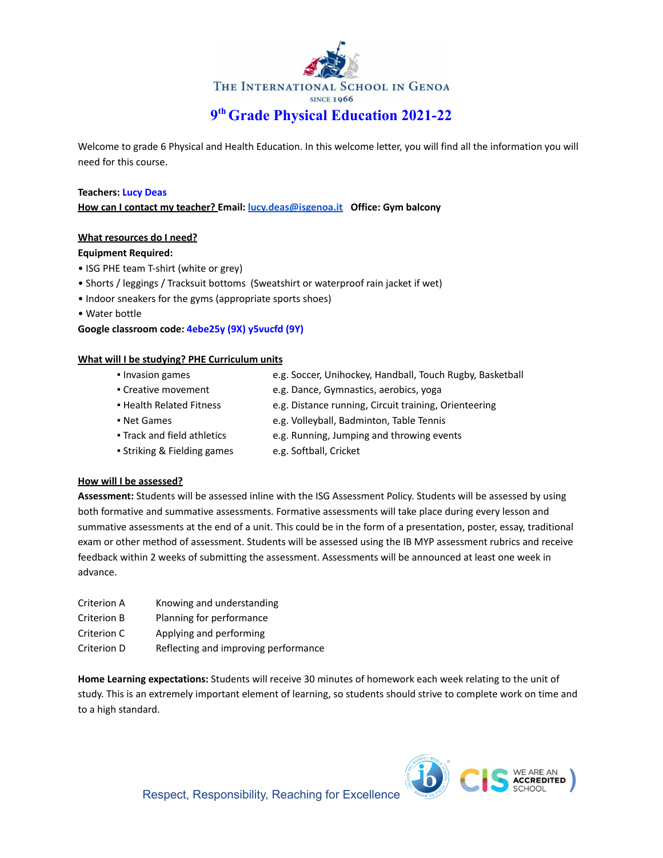![](_page_10_Picture_0.jpeg)

Welcome to grade 6 Physical and Health Education. In this welcome letter, you will find all the information you will need for this course.

#### **Teachers: Lucy Deas**

**How can I contact my teacher? Email: [lucy.deas@isgenoa.it](mailto:lucy.deas@isgenoa.it) Office: Gym balcony**

#### **What resources do I need?**

#### **Equipment Required:**

- ISG PHE team T-shirt (white or grey)
- Shorts / leggings / Tracksuit bottoms (Sweatshirt or waterproof rain jacket if wet)
- Indoor sneakers for the gyms (appropriate sports shoes)
- Water bottle

#### **Google classroom code: 4ebe25y (9X) y5vucfd (9Y)**

#### **What will I be studying? PHE Curriculum units**

- 
- Invasion games e.g. Soccer, Unihockey, Handball, Touch Rugby, Basketball
- Creative movement e.g. Dance, Gymnastics, aerobics, yoga
- Health Related Fitness e.g. Distance running, Circuit training, Orienteering
- Net Games e.g. Volleyball, Badminton, Table Tennis
- Track and field athletics e.g. Running, Jumping and throwing events
- Striking & Fielding games e.g. Softball, Cricket
	-

#### **How will I be assessed?**

**Assessment:** Students will be assessed inline with the ISG Assessment Policy. Students will be assessed by using both formative and summative assessments. Formative assessments will take place during every lesson and summative assessments at the end of a unit. This could be in the form of a presentation, poster, essay, traditional exam or other method of assessment. Students will be assessed using the IB MYP assessment rubrics and receive feedback within 2 weeks of submitting the assessment. Assessments will be announced at least one week in advance.

| Criterion A | Knowing and understanding            |
|-------------|--------------------------------------|
| Criterion B | Planning for performance             |
| Criterion C | Applying and performing              |
| Criterion D | Reflecting and improving performance |

**Home Learning expectations:** Students will receive 30 minutes of homework each week relating to the unit of study. This is an extremely important element of learning, so students should strive to complete work on time and to a high standard.

![](_page_10_Picture_25.jpeg)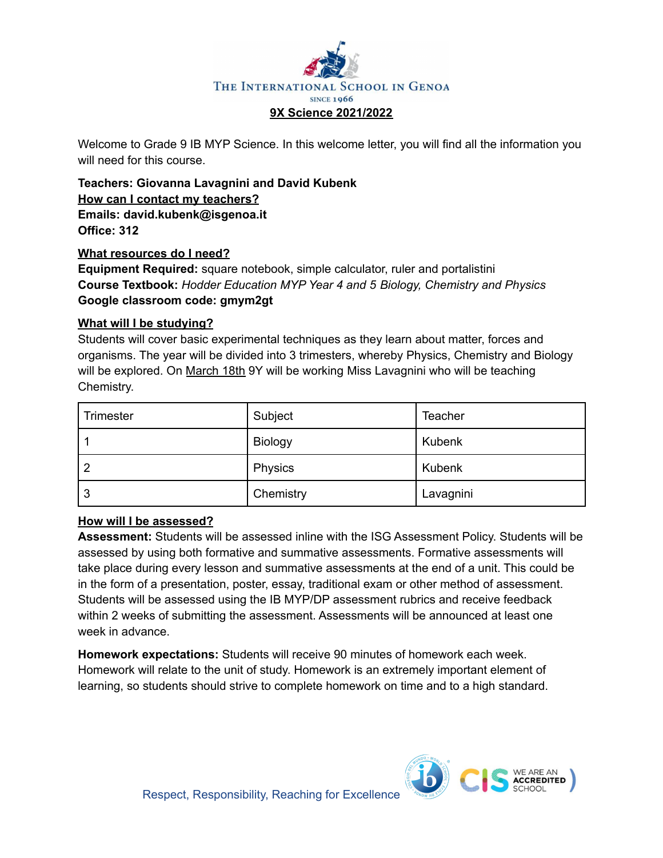![](_page_11_Picture_0.jpeg)

Welcome to Grade 9 IB MYP Science. In this welcome letter, you will find all the information you will need for this course.

**Teachers: Giovanna Lavagnini and David Kubenk How can I contact my teachers? Emails: david.kubenk@isgenoa.it Office: 312**

## **What resources do I need?**

**Equipment Required:** square notebook, simple calculator, ruler and portalistini **Course Textbook:** *Hodder Education MYP Year 4 and 5 Biology, Chemistry and Physics* **Google classroom code: gmym2gt**

## **What will I be studying?**

Students will cover basic experimental techniques as they learn about matter, forces and organisms. The year will be divided into 3 trimesters, whereby Physics, Chemistry and Biology will be explored. On March 18th 9Y will be working Miss Lavagnini who will be teaching Chemistry.

| Trimester | Subject   | <b>Teacher</b> |
|-----------|-----------|----------------|
|           | Biology   | <b>Kubenk</b>  |
| -2        | Physics   | <b>Kubenk</b>  |
| -3        | Chemistry | Lavagnini      |

## **How will I be assessed?**

**Assessment:** Students will be assessed inline with the ISG Assessment Policy. Students will be assessed by using both formative and summative assessments. Formative assessments will take place during every lesson and summative assessments at the end of a unit. This could be in the form of a presentation, poster, essay, traditional exam or other method of assessment. Students will be assessed using the IB MYP/DP assessment rubrics and receive feedback within 2 weeks of submitting the assessment. Assessments will be announced at least one week in advance.

**Homework expectations:** Students will receive 90 minutes of homework each week. Homework will relate to the unit of study. Homework is an extremely important element of learning, so students should strive to complete homework on time and to a high standard.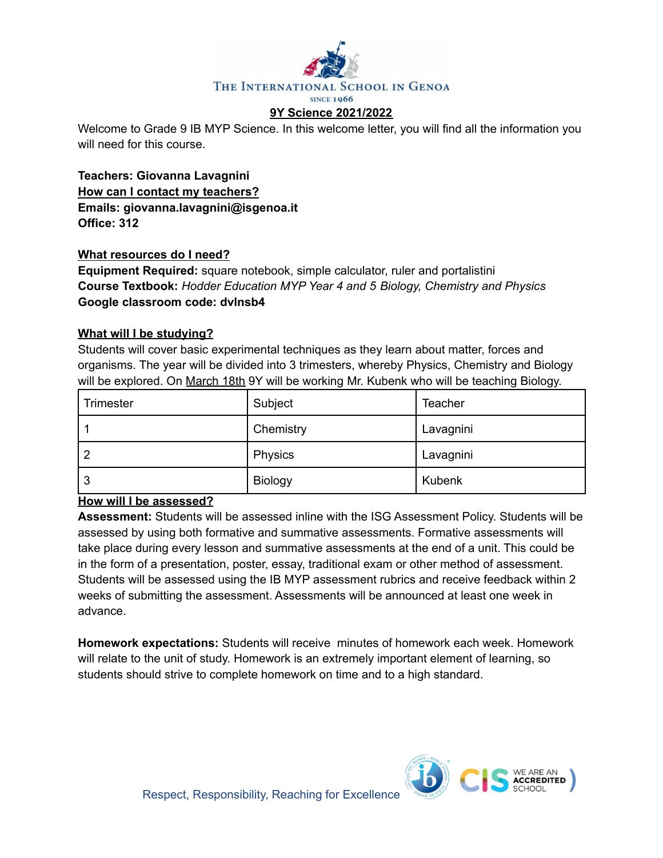![](_page_12_Picture_0.jpeg)

Welcome to Grade 9 IB MYP Science. In this welcome letter, you will find all the information you will need for this course.

**Teachers: Giovanna Lavagnini How can I contact my teachers? Emails: giovanna.lavagnini@isgenoa.it Office: 312**

## **What resources do I need?**

**Equipment Required:** square notebook, simple calculator, ruler and portalistini **Course Textbook:** *Hodder Education MYP Year 4 and 5 Biology, Chemistry and Physics* **Google classroom code: dvlnsb4**

## **What will I be studying?**

Students will cover basic experimental techniques as they learn about matter, forces and organisms. The year will be divided into 3 trimesters, whereby Physics, Chemistry and Biology will be explored. On March 18th 9Y will be working Mr. Kubenk who will be teaching Biology.

| Trimester | Subject        | <b>Teacher</b> |
|-----------|----------------|----------------|
|           | Chemistry      | Lavagnini      |
| -2        | Physics        | Lavagnini      |
| l 3       | <b>Biology</b> | Kubenk         |

## **How will I be assessed?**

**Assessment:** Students will be assessed inline with the ISG Assessment Policy. Students will be assessed by using both formative and summative assessments. Formative assessments will take place during every lesson and summative assessments at the end of a unit. This could be in the form of a presentation, poster, essay, traditional exam or other method of assessment. Students will be assessed using the IB MYP assessment rubrics and receive feedback within 2 weeks of submitting the assessment. Assessments will be announced at least one week in advance.

**Homework expectations:** Students will receive minutes of homework each week. Homework will relate to the unit of study. Homework is an extremely important element of learning, so students should strive to complete homework on time and to a high standard.

![](_page_12_Picture_11.jpeg)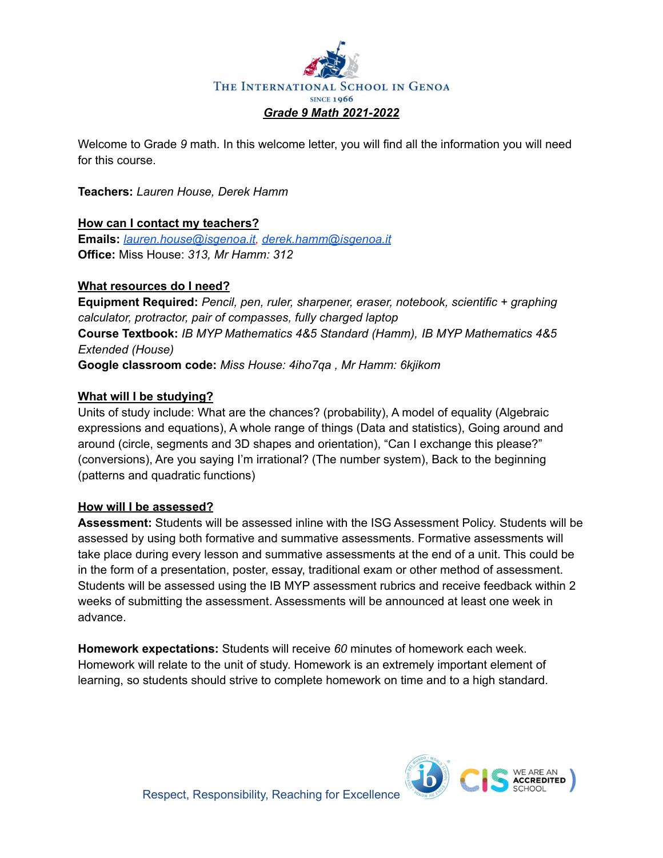![](_page_13_Picture_0.jpeg)

Welcome to Grade *9* math. In this welcome letter, you will find all the information you will need for this course.

**Teachers:** *Lauren House, Derek Hamm*

## **How can I contact my teachers?**

**Emails:** *[lauren.house@isgenoa.it,](mailto:lauren.house@isgenoa.it) [derek.hamm@isgenoa.it](mailto:derek.hamm@isgenoa.it)* **Office:** Miss House: *313, Mr Hamm: 312*

## **What resources do I need?**

**Equipment Required:** *Pencil, pen, ruler, sharpener, eraser, notebook, scientific + graphing calculator, protractor, pair of compasses, fully charged laptop* **Course Textbook:** *IB MYP Mathematics 4&5 Standard (Hamm), IB MYP Mathematics 4&5 Extended (House)* **Google classroom code:** *Miss House: 4iho7qa , Mr Hamm: 6kjikom*

## **What will I be studying?**

Units of study include: What are the chances? (probability), A model of equality (Algebraic expressions and equations), A whole range of things (Data and statistics), Going around and around (circle, segments and 3D shapes and orientation), "Can I exchange this please?" (conversions), Are you saying I'm irrational? (The number system), Back to the beginning (patterns and quadratic functions)

## **How will I be assessed?**

**Assessment:** Students will be assessed inline with the ISG Assessment Policy. Students will be assessed by using both formative and summative assessments. Formative assessments will take place during every lesson and summative assessments at the end of a unit. This could be in the form of a presentation, poster, essay, traditional exam or other method of assessment. Students will be assessed using the IB MYP assessment rubrics and receive feedback within 2 weeks of submitting the assessment. Assessments will be announced at least one week in advance.

**Homework expectations:** Students will receive *60* minutes of homework each week. Homework will relate to the unit of study. Homework is an extremely important element of learning, so students should strive to complete homework on time and to a high standard.

![](_page_13_Picture_12.jpeg)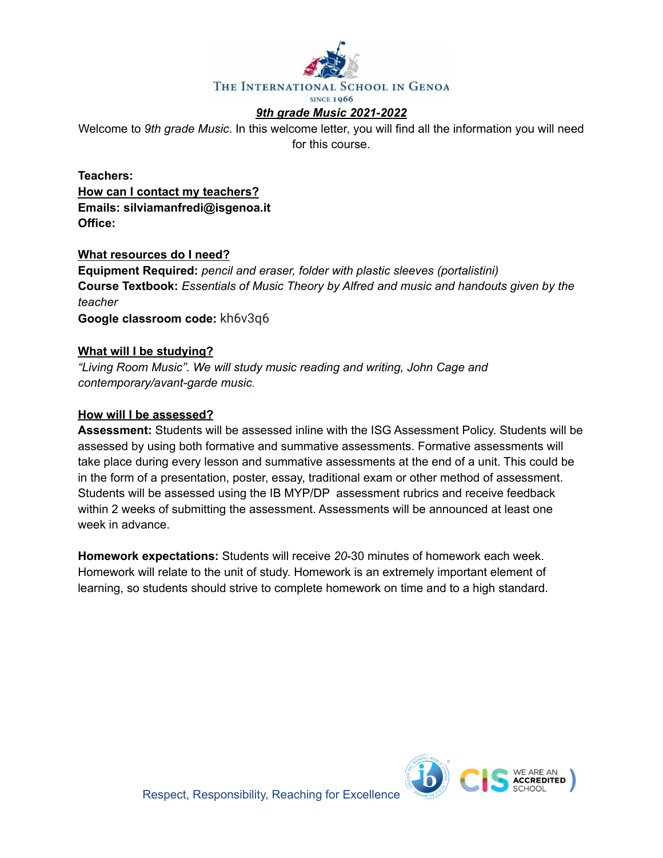![](_page_14_Picture_0.jpeg)

## *9th grade Music 2021-2022*

Welcome to *9th grade Music*. In this welcome letter, you will find all the information you will need for this course.

**Teachers: How can I contact my teachers? Emails: silviamanfredi@isgenoa.it Office:**

#### **What resources do I need?**

**Equipment Required:** *pencil and eraser, folder with plastic sleeves (portalistini)* **Course Textbook:** *Essentials of Music Theory by Alfred and music and handouts given by the teacher*

**Google classroom code:** kh6v3q6

#### **What will I be studying?**

*"Living Room Music". We will study music reading and writing, John Cage and contemporary/avant-garde music.*

#### **How will I be assessed?**

**Assessment:** Students will be assessed inline with the ISG Assessment Policy. Students will be assessed by using both formative and summative assessments. Formative assessments will take place during every lesson and summative assessments at the end of a unit. This could be in the form of a presentation, poster, essay, traditional exam or other method of assessment. Students will be assessed using the IB MYP/DP assessment rubrics and receive feedback within 2 weeks of submitting the assessment. Assessments will be announced at least one week in advance.

**Homework expectations:** Students will receive *20*-30 minutes of homework each week. Homework will relate to the unit of study. Homework is an extremely important element of learning, so students should strive to complete homework on time and to a high standard.

![](_page_14_Picture_12.jpeg)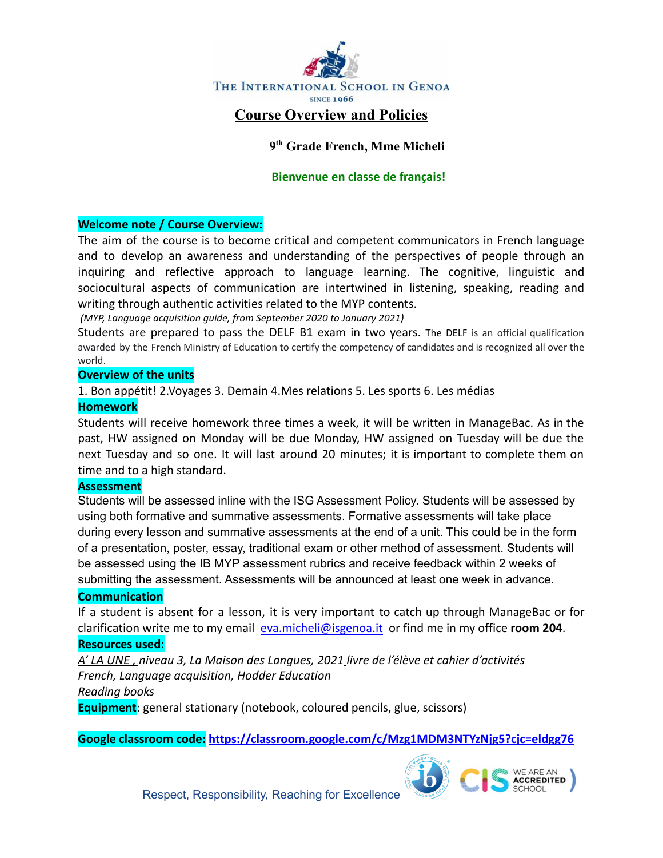![](_page_15_Picture_0.jpeg)

# **9 th Grade French, Mme Micheli**

## **Bienvenue en classe de français!**

### **Welcome note / Course Overview:**

The aim of the course is to become critical and competent communicators in French language and to develop an awareness and understanding of the perspectives of people through an inquiring and reflective approach to language learning. The cognitive, linguistic and sociocultural aspects of communication are intertwined in listening, speaking, reading and writing through authentic activities related to the MYP contents.

*(MYP, Language acquisition guide, from September 2020 to January 2021)*

Students are prepared to pass the DELF B1 exam in two years. The DELF is an official qualification awarded by the French Ministry of Education to certify the competency of candidates and is recognized all over the world.

#### **Overview of the units**

1. Bon appétit! 2.Voyages 3. Demain 4.Mes relations 5. Les sports 6. Les médias

### **Homework**

Students will receive homework three times a week, it will be written in ManageBac. As in the past, HW assigned on Monday will be due Monday, HW assigned on Tuesday will be due the next Tuesday and so one. It will last around 20 minutes; it is important to complete them on time and to a high standard.

#### **Assessment**

Students will be assessed inline with the ISG Assessment Policy. Students will be assessed by using both formative and summative assessments. Formative assessments will take place during every lesson and summative assessments at the end of a unit. This could be in the form of a presentation, poster, essay, traditional exam or other method of assessment. Students will be assessed using the IB MYP assessment rubrics and receive feedback within 2 weeks of submitting the assessment. Assessments will be announced at least one week in advance.

#### **Communication**

If a student is absent for a lesson, it is very important to catch up through ManageBac or for clarification write me to my email [eva.micheli@isgenoa.it](mailto:eva.micheli@isgenoa.it) or find me in my office **room 204**. **Resources used**:

*A' LA UNE , niveau 3, La Maison des Langues, 2021 livre de l'élève et cahier d'activités French, Language acquisition, Hodder Education Reading books*

**Equipment**: general stationary (notebook, coloured pencils, glue, scissors)

**Google classroom code: <https://classroom.google.com/c/Mzg1MDM3NTYzNjg5?cjc=eldgg76>**

![](_page_15_Picture_18.jpeg)